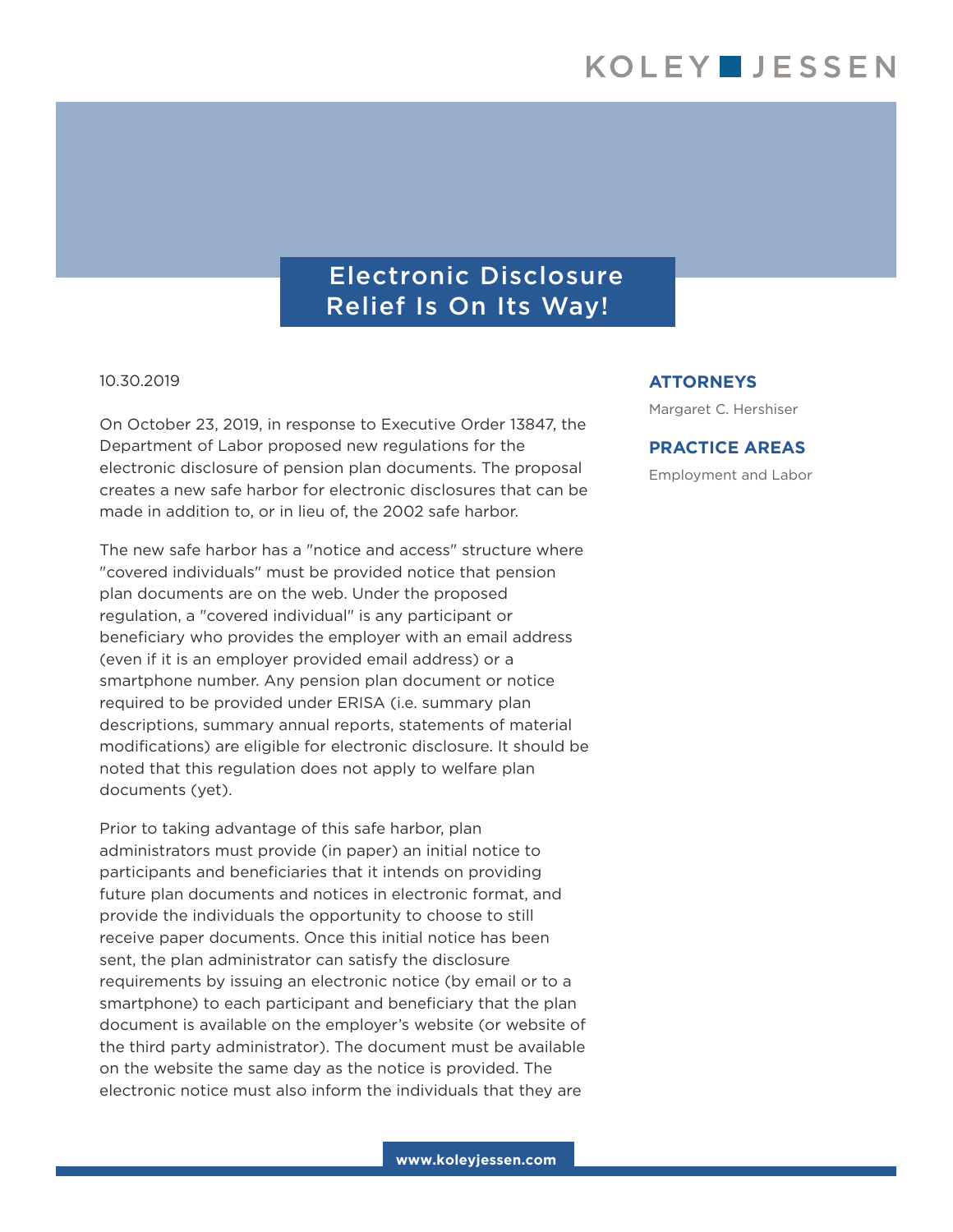## Electronic Disclosure Relief Is On Its Way!

#### 10.30.2019

On October 23, 2019, in response to Executive Order 13847, the Department of Labor proposed new regulations for the electronic disclosure of pension plan documents. The proposal creates a new safe harbor for electronic disclosures that can be made in addition to, or in lieu of, the 2002 safe harbor.

The new safe harbor has a "notice and access" structure where "covered individuals" must be provided notice that pension plan documents are on the web. Under the proposed regulation, a "covered individual" is any participant or beneficiary who provides the employer with an email address (even if it is an employer provided email address) or a smartphone number. Any pension plan document or notice required to be provided under ERISA (i.e. summary plan descriptions, summary annual reports, statements of material modifications) are eligible for electronic disclosure. It should be noted that this regulation does not apply to welfare plan documents (yet).

Prior to taking advantage of this safe harbor, plan administrators must provide (in paper) an initial notice to participants and beneficiaries that it intends on providing future plan documents and notices in electronic format, and provide the individuals the opportunity to choose to still receive paper documents. Once this initial notice has been sent, the plan administrator can satisfy the disclosure requirements by issuing an electronic notice (by email or to a smartphone) to each participant and beneficiary that the plan document is available on the employer's website (or website of the third party administrator). The document must be available on the website the same day as the notice is provided. The electronic notice must also inform the individuals that they are

#### **ATTORNEYS**

Margaret C. Hershiser

### **PRACTICE AREAS**

Employment and Labor